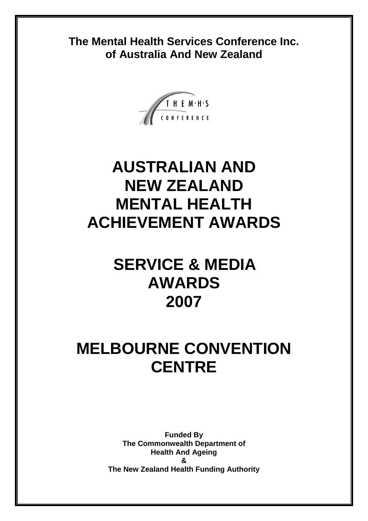**The Mental Health Services Conference Inc. of Australia And New Zealand**



# **AUSTRALIAN AND NEW ZEALAND MENTAL HEALTH ACHIEVEMENT AWARDS**

# **SERVICE & MEDIA AWARDS 2007**

# **MELBOURNE CONVENTION CENTRE**

**Funded By The Commonwealth Department of Health And Ageing & The New Zealand Health Funding Authority**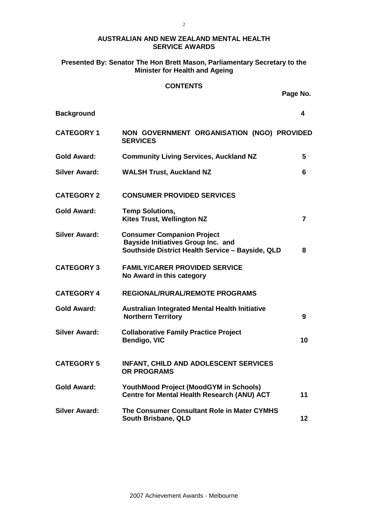#### **AUSTRALIAN AND NEW ZEALAND MENTAL HEALTH SERVICE AWARDS**

#### **Presented By: Senator The Hon Brett Mason, Parliamentary Secretary to the Minister for Health and Ageing**

#### **CONTENTS**

**Page No.** 

| <b>Background</b>    |                                                                                                                                    | 4              |
|----------------------|------------------------------------------------------------------------------------------------------------------------------------|----------------|
| <b>CATEGORY 1</b>    | NON GOVERNMENT ORGANISATION (NGO) PROVIDED<br><b>SERVICES</b>                                                                      |                |
| Gold Award:          | <b>Community Living Services, Auckland NZ</b>                                                                                      | 5              |
| <b>Silver Award:</b> | <b>WALSH Trust, Auckland NZ</b>                                                                                                    | 6              |
| <b>CATEGORY 2</b>    | <b>CONSUMER PROVIDED SERVICES</b>                                                                                                  |                |
| <b>Gold Award:</b>   | <b>Temp Solutions,</b><br><b>Kites Trust, Wellington NZ</b>                                                                        | $\overline{7}$ |
| <b>Silver Award:</b> | <b>Consumer Companion Project</b><br><b>Bayside Initiatives Group Inc. and</b><br>Southside District Health Service - Bayside, QLD | 8              |
| <b>CATEGORY 3</b>    | <b>FAMILY/CARER PROVIDED SERVICE</b><br>No Award in this category                                                                  |                |
| <b>CATEGORY 4</b>    | <b>REGIONAL/RURAL/REMOTE PROGRAMS</b>                                                                                              |                |
| <b>Gold Award:</b>   | <b>Australian Integrated Mental Health Initiative</b><br><b>Northern Territory</b>                                                 | 9              |
| <b>Silver Award:</b> | <b>Collaborative Family Practice Project</b><br>Bendigo, VIC                                                                       | 10             |
| <b>CATEGORY 5</b>    | <b>INFANT, CHILD AND ADOLESCENT SERVICES</b><br><b>OR PROGRAMS</b>                                                                 |                |
| <b>Gold Award:</b>   | YouthMood Project (MoodGYM in Schools)<br>Centre for Mental Health Research (ANU) ACT                                              | 11             |
| <b>Silver Award:</b> | The Consumer Consultant Role in Mater CYMHS<br>South Brisbane, QLD                                                                 | 12             |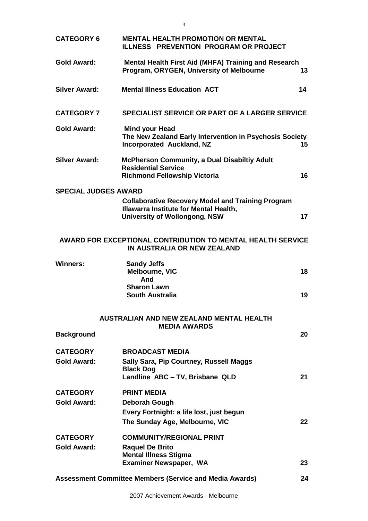| <b>CATEGORY 6</b>           | <b>MENTAL HEALTH PROMOTION OR MENTAL</b><br>ILLNESS PREVENTION PROGRAM OR PROJECT                                                          |    |
|-----------------------------|--------------------------------------------------------------------------------------------------------------------------------------------|----|
| <b>Gold Award:</b>          | <b>Mental Health First Aid (MHFA) Training and Research</b><br>Program, ORYGEN, University of Melbourne                                    | 13 |
| <b>Silver Award:</b>        | <b>Mental Illness Education ACT</b>                                                                                                        | 14 |
| <b>CATEGORY 7</b>           | <b>SPECIALIST SERVICE OR PART OF A LARGER SERVICE</b>                                                                                      |    |
| <b>Gold Award:</b>          | <b>Mind your Head</b><br>The New Zealand Early Intervention in Psychosis Society<br><b>Incorporated Auckland, NZ</b>                       | 15 |
| <b>Silver Award:</b>        | <b>McPherson Community, a Dual Disabiltiy Adult</b><br><b>Residential Service</b><br><b>Richmond Fellowship Victoria</b>                   | 16 |
| <b>SPECIAL JUDGES AWARD</b> |                                                                                                                                            |    |
|                             | <b>Collaborative Recovery Model and Training Program</b><br>Illawarra Institute for Mental Health,<br><b>University of Wollongong, NSW</b> | 17 |
|                             | <b>AWARD FOR EXCEPTIONAL CONTRIBUTION TO MENTAL HEALTH SERVICE</b><br>IN AUSTRALIA OR NEW ZEALAND                                          |    |
| Winners:                    | <b>Sandy Jeffs</b><br>Melbourne, VIC<br>And                                                                                                | 18 |
|                             | <b>Sharon Lawn</b><br><b>South Australia</b>                                                                                               | 19 |
|                             | <b>AUSTRALIAN AND NEW ZEALAND MENTAL HEALTH</b>                                                                                            |    |
| <b>Background</b>           | <b>MEDIA AWARDS</b>                                                                                                                        | 20 |
| <b>CATEGORY</b>             | <b>BROADCAST MEDIA</b>                                                                                                                     |    |
| <b>Gold Award:</b>          | Sally Sara, Pip Courtney, Russell Maggs<br><b>Black Dog</b>                                                                                |    |
|                             | Landline ABC - TV, Brisbane QLD                                                                                                            | 21 |
| <b>CATEGORY</b>             | <b>PRINT MEDIA</b>                                                                                                                         |    |
| <b>Gold Award:</b>          | Deborah Gough                                                                                                                              |    |
|                             | Every Fortnight: a life lost, just begun<br>The Sunday Age, Melbourne, VIC                                                                 | 22 |
| <b>CATEGORY</b>             | <b>COMMUNITY/REGIONAL PRINT</b>                                                                                                            |    |
| <b>Gold Award:</b>          | <b>Raquel De Brito</b>                                                                                                                     |    |
|                             | <b>Mental Illness Stigma</b><br><b>Examiner Newspaper, WA</b>                                                                              | 23 |
|                             |                                                                                                                                            |    |
|                             | <b>Assessment Committee Members (Service and Media Awards)</b>                                                                             | 24 |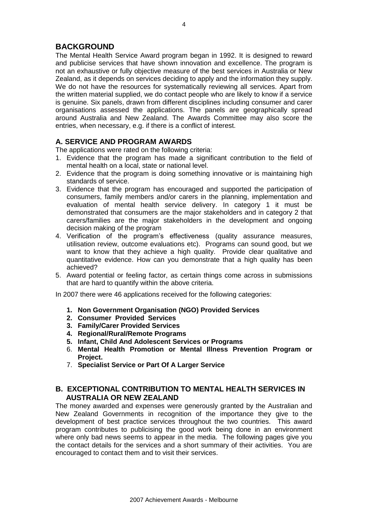### **BACKGROUND**

The Mental Health Service Award program began in 1992. It is designed to reward and publicise services that have shown innovation and excellence. The program is not an exhaustive or fully objective measure of the best services in Australia or New Zealand, as it depends on services deciding to apply and the information they supply. We do not have the resources for systematically reviewing all services. Apart from the written material supplied, we do contact people who are likely to know if a service is genuine. Six panels, drawn from different disciplines including consumer and carer organisations assessed the applications. The panels are geographically spread around Australia and New Zealand. The Awards Committee may also score the entries, when necessary, e.g. if there is a conflict of interest.

#### **A. SERVICE AND PROGRAM AWARDS**

The applications were rated on the following criteria:

- 1. Evidence that the program has made a significant contribution to the field of mental health on a local, state or national level.
- 2. Evidence that the program is doing something innovative or is maintaining high standards of service.
- 3. Evidence that the program has encouraged and supported the participation of consumers, family members and/or carers in the planning, implementation and evaluation of mental health service delivery. In category 1 it must be demonstrated that consumers are the major stakeholders and in category 2 that carers/families are the major stakeholders in the development and ongoing decision making of the program
- 4. Verification of the program's effectiveness (quality assurance measures, utilisation review, outcome evaluations etc). Programs can sound good, but we want to know that they achieve a high quality. Provide clear qualitative and quantitative evidence. How can you demonstrate that a high quality has been achieved?
- 5. Award potential or feeling factor, as certain things come across in submissions that are hard to quantify within the above criteria.

In 2007 there were 46 applications received for the following categories:

- **1. Non Government Organisation (NGO) Provided Services**
- **2. Consumer Provided Services**
- **3. Family/Carer Provided Services**
- **4. Regional/Rural/Remote Programs**
- **5. Infant, Child And Adolescent Services or Programs**
- 6. **Mental Health Promotion or Mental Illness Prevention Program or Project.**
- 7. **Specialist Service or Part Of A Larger Service**

#### **B. EXCEPTIONAL CONTRIBUTION TO MENTAL HEALTH SERVICES IN AUSTRALIA OR NEW ZEALAND**

The money awarded and expenses were generously granted by the Australian and New Zealand Governments in recognition of the importance they give to the development of best practice services throughout the two countries. This award program contributes to publicising the good work being done in an environment where only bad news seems to appear in the media. The following pages give you the contact details for the services and a short summary of their activities. You are encouraged to contact them and to visit their services.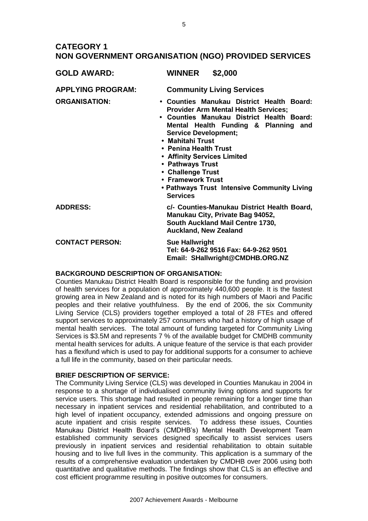## **CATEGORY 1 NON GOVERNMENT ORGANISATION (NGO) PROVIDED SERVICES**

| <b>GOLD AWARD:</b>       | <b>WINNER</b><br>\$2,000                                                                                                                                                                                                                                                                                                                                                                                                 |
|--------------------------|--------------------------------------------------------------------------------------------------------------------------------------------------------------------------------------------------------------------------------------------------------------------------------------------------------------------------------------------------------------------------------------------------------------------------|
| <b>APPLYING PROGRAM:</b> | <b>Community Living Services</b>                                                                                                                                                                                                                                                                                                                                                                                         |
| <b>ORGANISATION:</b>     | • Counties Manukau District Health Board:<br><b>Provider Arm Mental Health Services;</b><br>• Counties Manukau District Health Board:<br>Mental Health Funding & Planning and<br><b>Service Development;</b><br>• Mahitahi Trust<br>• Penina Health Trust<br>• Affinity Services Limited<br>• Pathways Trust<br>• Challenge Trust<br>• Framework Trust<br>• Pathways Trust Intensive Community Living<br><b>Services</b> |
| <b>ADDRESS:</b>          | c/- Counties-Manukau District Health Board,<br>Manukau City, Private Bag 94052,<br>South Auckland Mail Centre 1730,<br><b>Auckland, New Zealand</b>                                                                                                                                                                                                                                                                      |
| <b>CONTACT PERSON:</b>   | <b>Sue Hallwright</b><br>Tel: 64-9-262 9516 Fax: 64-9-262 9501<br>Email: SHallwright@CMDHB.ORG.NZ                                                                                                                                                                                                                                                                                                                        |

#### **BACKGROUND DESCRIPTION OF ORGANISATION:**

Counties Manukau District Health Board is responsible for the funding and provision of health services for a population of approximately 440,600 people. It is the fastest growing area in New Zealand and is noted for its high numbers of Maori and Pacific peoples and their relative youthfulness. By the end of 2006, the six Community Living Service (CLS) providers together employed a total of 28 FTEs and offered support services to approximately 257 consumers who had a history of high usage of mental health services. The total amount of funding targeted for Community Living Services is \$3.5M and represents 7 % of the available budget for CMDHB community mental health services for adults. A unique feature of the service is that each provider has a flexifund which is used to pay for additional supports for a consumer to achieve a full life in the community, based on their particular needs.

#### **BRIEF DESCRIPTION OF SERVICE:**

The Community Living Service (CLS) was developed in Counties Manukau in 2004 in response to a shortage of individualised community living options and supports for service users. This shortage had resulted in people remaining for a longer time than necessary in inpatient services and residential rehabilitation, and contributed to a high level of inpatient occupancy, extended admissions and ongoing pressure on acute inpatient and crisis respite services. To address these issues, Counties Manukau District Health Board's (CMDHB's) Mental Health Development Team established community services designed specifically to assist services users previously in inpatient services and residential rehabilitation to obtain suitable housing and to live full lives in the community. This application is a summary of the results of a comprehensive evaluation undertaken by CMDHB over 2006 using both quantitative and qualitative methods. The findings show that CLS is an effective and cost efficient programme resulting in positive outcomes for consumers.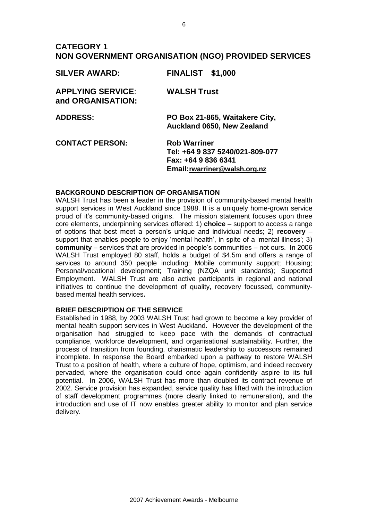## **CATEGORY 1 NON GOVERNMENT ORGANISATION (NGO) PROVIDED SERVICES**

| <b>SILVER AWARD:</b>                          | <b>FINALIST \$1,000</b>                                                                                        |
|-----------------------------------------------|----------------------------------------------------------------------------------------------------------------|
| <b>APPLYING SERVICE:</b><br>and ORGANISATION: | <b>WALSH Trust</b>                                                                                             |
| <b>ADDRESS:</b>                               | PO Box 21-865, Waitakere City,<br><b>Auckland 0650, New Zealand</b>                                            |
| <b>CONTACT PERSON:</b>                        | <b>Rob Warriner</b><br>Tel: +64 9 837 5240/021-809-077<br>Fax: +64 9 836 6341<br>Email: rwarriner@walsh.org.nz |

#### **BACKGROUND DESCRIPTION OF ORGANISATION**

WALSH Trust has been a leader in the provision of community-based mental health support services in West Auckland since 1988. It is a uniquely home-grown service proud of it's community-based origins. The mission statement focuses upon three core elements, underpinning services offered: 1) **choice** – support to access a range of options that best meet a person's unique and individual needs; 2) **recovery** – support that enables people to enjoy 'mental health', in spite of a 'mental illness'; 3) **community** – services that are provided in people's communities – not ours. In 2006 WALSH Trust employed 80 staff, holds a budget of \$4.5m and offers a range of services to around 350 people including: Mobile community support: Housing: Personal/vocational development; Training (NZQA unit standards); Supported Employment. WALSH Trust are also active participants in regional and national initiatives to continue the development of quality, recovery focussed, communitybased mental health services**.**

#### **BRIEF DESCRIPTION OF THE SERVICE**

Established in 1988, by 2003 WALSH Trust had grown to become a key provider of mental health support services in West Auckland. However the development of the organisation had struggled to keep pace with the demands of contractual compliance, workforce development, and organisational sustainability. Further, the process of transition from founding, charismatic leadership to successors remained incomplete. In response the Board embarked upon a pathway to restore WALSH Trust to a position of health, where a culture of hope, optimism, and indeed recovery pervaded, where the organisation could once again confidently aspire to its full potential. In 2006, WALSH Trust has more than doubled its contract revenue of 2002. Service provision has expanded, service quality has lifted with the introduction of staff development programmes (more clearly linked to remuneration), and the introduction and use of IT now enables greater ability to monitor and plan service delivery.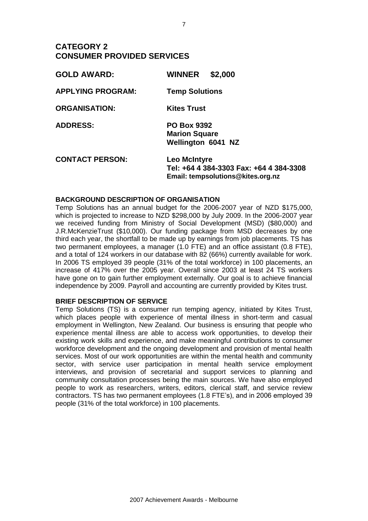## **CATEGORY 2 CONSUMER PROVIDED SERVICES**

| <b>GOLD AWARD:</b>       | \$2,000<br><b>WINNER</b>                                                                            |
|--------------------------|-----------------------------------------------------------------------------------------------------|
| <b>APPLYING PROGRAM:</b> | <b>Temp Solutions</b>                                                                               |
| <b>ORGANISATION:</b>     | <b>Kites Trust</b>                                                                                  |
| <b>ADDRESS:</b>          | <b>PO Box 9392</b><br><b>Marion Square</b><br><b>Wellington 6041 NZ</b>                             |
| <b>CONTACT PERSON:</b>   | <b>Leo McIntyre</b><br>Tel: +64 4 384-3303 Fax: +64 4 384-3308<br>Email: tempsolutions@kites.org.nz |

#### **BACKGROUND DESCRIPTION OF ORGANISATION**

Temp Solutions has an annual budget for the 2006-2007 year of NZD \$175,000, which is projected to increase to NZD \$298,000 by July 2009. In the 2006-2007 year we received funding from Ministry of Social Development (MSD) (\$80,000) and J.R.McKenzieTrust (\$10,000). Our funding package from MSD decreases by one third each year, the shortfall to be made up by earnings from job placements. TS has two permanent employees, a manager (1.0 FTE) and an office assistant (0.8 FTE), and a total of 124 workers in our database with 82 (66%) currently available for work. In 2006 TS employed 39 people (31% of the total workforce) in 100 placements, an increase of 417% over the 2005 year. Overall since 2003 at least 24 TS workers have gone on to gain further employment externally. Our goal is to achieve financial independence by 2009. Payroll and accounting are currently provided by Kites trust.

#### **BRIEF DESCRIPTION OF SERVICE**

Temp Solutions (TS) is a consumer run temping agency, initiated by Kites Trust, which places people with experience of mental illness in short-term and casual employment in Wellington, New Zealand. Our business is ensuring that people who experience mental illness are able to access work opportunities, to develop their existing work skills and experience, and make meaningful contributions to consumer workforce development and the ongoing development and provision of mental health services. Most of our work opportunities are within the mental health and community sector, with service user participation in mental health service employment interviews, and provision of secretarial and support services to planning and community consultation processes being the main sources. We have also employed people to work as researchers, writers, editors, clerical staff, and service review contractors. TS has two permanent employees (1.8 FTE's), and in 2006 employed 39 people (31% of the total workforce) in 100 placements.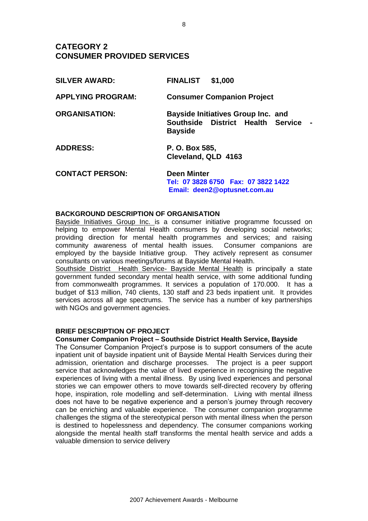# **CATEGORY 2 CONSUMER PROVIDED SERVICES**

| <b>SILVER AWARD:</b>     | <b>FINALIST</b><br>\$1,000                                                                         |
|--------------------------|----------------------------------------------------------------------------------------------------|
| <b>APPLYING PROGRAM:</b> | <b>Consumer Companion Project</b>                                                                  |
| <b>ORGANISATION:</b>     | <b>Bayside Initiatives Group Inc. and</b><br>Southside District Health Service -<br><b>Bayside</b> |
| <b>ADDRESS:</b>          | P. O. Box 585,<br>Cleveland, QLD 4163                                                              |
| <b>CONTACT PERSON:</b>   | <b>Deen Minter</b>                                                                                 |

**[Tel: 07 3828 6750 Fax: 07 3822 1422](mailto:Tel:%20%2007%203828%206750%20%20%20Fax:%20%2007%203822%201422%20%20%20%20%20%20%20Email:%20%20deen2@optusnet.com.au)  [Email: deen2@optusnet.com.au](mailto:Tel:%20%2007%203828%206750%20%20%20Fax:%20%2007%203822%201422%20%20%20%20%20%20%20Email:%20%20deen2@optusnet.com.au)**

#### **BACKGROUND DESCRIPTION OF ORGANISATION**

Bayside Initiatives Group Inc. is a consumer initiative programme focussed on helping to empower Mental Health consumers by developing social networks; providing direction for mental health programmes and services; and raising community awareness of mental health issues. Consumer companions are employed by the bayside Initiative group. They actively represent as consumer consultants on various meetings/forums at Bayside Mental Health.

Southside District Health Service- Bayside Mental Health is principally a state government funded secondary mental health service, with some additional funding from commonwealth programmes. It services a population of 170.000. It has a budget of \$13 million, 740 clients, 130 staff and 23 beds inpatient unit. It provides services across all age spectrums. The service has a number of key partnerships with NGOs and government agencies.

#### **BRIEF DESCRIPTION OF PROJECT**

#### **Consumer Companion Project – Southside District Health Service, Bayside**

The Consumer Companion Project's purpose is to support consumers of the acute inpatient unit of bayside inpatient unit of Bayside Mental Health Services during their admission, orientation and discharge processes. The project is a peer support service that acknowledges the value of lived experience in recognising the negative experiences of living with a mental illness. By using lived experiences and personal stories we can empower others to move towards self-directed recovery by offering hope, inspiration, role modelling and self-determination. Living with mental illness does not have to be negative experience and a person's journey through recovery can be enriching and valuable experience. The consumer companion programme challenges the stigma of the stereotypical person with mental illness when the person is destined to hopelessness and dependency. The consumer companions working alongside the mental health staff transforms the mental health service and adds a valuable dimension to service delivery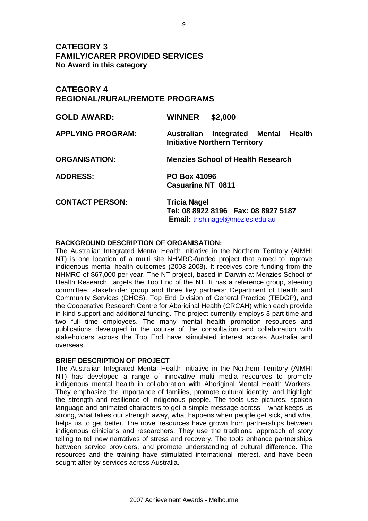**CATEGORY 3 FAMILY/CARER PROVIDED SERVICES No Award in this category**

## **CATEGORY 4 REGIONAL/RURAL/REMOTE PROGRAMS**

| <b>GOLD AWARD:</b>       | <b>WINNER</b>                                   | \$2,000                                                                         |  |
|--------------------------|-------------------------------------------------|---------------------------------------------------------------------------------|--|
| <b>APPLYING PROGRAM:</b> |                                                 | Australian Integrated Mental Health<br><b>Initiative Northern Territory</b>     |  |
| <b>ORGANISATION:</b>     |                                                 | <b>Menzies School of Health Research</b>                                        |  |
| <b>ADDRESS:</b>          | <b>PO Box 41096</b><br><b>Casuarina NT 0811</b> |                                                                                 |  |
| <b>CONTACT PERSON:</b>   | <b>Tricia Nagel</b>                             | Tel: 08 8922 8196  Fax: 08 8927 5187<br><b>Email:</b> trish.nagel@mezies.edu.au |  |

#### **BACKGROUND DESCRIPTION OF ORGANISATION:**

The Australian Integrated Mental Health Initiative in the Northern Territory (AIMHI NT) is one location of a multi site NHMRC-funded project that aimed to improve indigenous mental health outcomes (2003-2008). It receives core funding from the NHMRC of \$67,000 per year. The NT project, based in Darwin at Menzies School of Health Research, targets the Top End of the NT. It has a reference group, steering committee, stakeholder group and three key partners: Department of Health and Community Services (DHCS), Top End Division of General Practice (TEDGP), and the Cooperative Research Centre for Aboriginal Health (CRCAH) which each provide in kind support and additional funding. The project currently employs 3 part time and two full time employees. The many mental health promotion resources and publications developed in the course of the consultation and collaboration with stakeholders across the Top End have stimulated interest across Australia and overseas.

#### **BRIEF DESCRIPTION OF PROJECT**

The Australian Integrated Mental Health Initiative in the Northern Territory (AIMHI NT) has developed a range of innovative multi media resources to promote indigenous mental health in collaboration with Aboriginal Mental Health Workers. They emphasize the importance of families, promote cultural identity, and highlight the strength and resilience of Indigenous people. The tools use pictures, spoken language and animated characters to get a simple message across – what keeps us strong, what takes our strength away, what happens when people get sick, and what helps us to get better. The novel resources have grown from partnerships between indigenous clinicians and researchers. They use the traditional approach of story telling to tell new narratives of stress and recovery. The tools enhance partnerships between service providers, and promote understanding of cultural difference. The resources and the training have stimulated international interest, and have been sought after by services across Australia.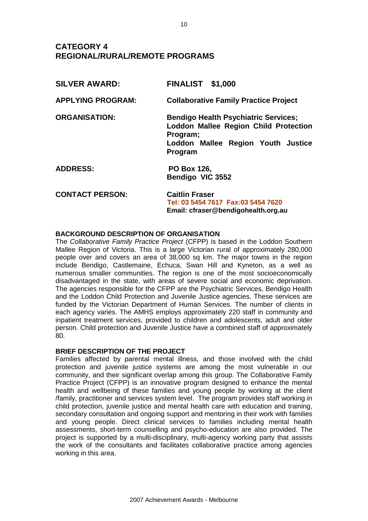# **CATEGORY 4 REGIONAL/RURAL/REMOTE PROGRAMS**

| <b>SILVER AWARD:</b>     | <b>FINALIST \$1,000</b>                                                                                                                                  |
|--------------------------|----------------------------------------------------------------------------------------------------------------------------------------------------------|
| <b>APPLYING PROGRAM:</b> | <b>Collaborative Family Practice Project</b>                                                                                                             |
| <b>ORGANISATION:</b>     | <b>Bendigo Health Psychiatric Services;</b><br><b>Loddon Mallee Region Child Protection</b><br>Program;<br>Loddon Mallee Region Youth Justice<br>Program |
| <b>ADDRESS:</b>          | <b>PO Box 126,</b><br>Bendigo VIC 3552                                                                                                                   |
| <b>CONTACT PERSON:</b>   | <b>Caitlin Fraser</b><br>Tel: 03 5454 7617 Fax:03 5454 7620<br>Email: cfraser@bendigohealth.org.au                                                       |

#### **BACKGROUND DESCRIPTION OF ORGANISATION**

The *Collaborative Family Practice Project* (CFPP) is based in the Loddon Southern Mallee Region of Victoria. This is a large Victorian rural of approximately 280,000 people over and covers an area of 38,000 sq km. The major towns in the region include Bendigo, Castlemaine, Echuca, Swan Hill and Kyneton, as a well as numerous smaller communities. The region is one of the most socioeconomically disadvantaged in the state, with areas of severe social and economic deprivation. The agencies responsible for the CFPP are the Psychiatric Services, Bendigo Health and the Loddon Child Protection and Juvenile Justice agencies. These services are funded by the Victorian Department of Human Services. The number of clients in each agency varies. The AMHS employs approximately 220 staff in community and inpatient treatment services, provided to children and adolescents, adult and older person. Child protection and Juvenile Justice have a combined staff of approximately 80.

#### **BRIEF DESCRIPTION OF THE PROJECT**

Families affected by parental mental illness, and those involved with the child protection and juvenile justice systems are among the most vulnerable in our community, and their significant overlap among this group. The Collaborative Family Practice Project (CFPP) is an innovative program designed to enhance the mental health and wellbeing of these families and young people by working at the client /family, practitioner and services system level. The program provides staff working in child protection, juvenile justice and mental health care with education and training, secondary consultation and ongoing support and mentoring in their work with families and young people. Direct clinical services to families including mental health assessments, short-term counselling and psycho-education are also provided. The project is supported by a multi-disciplinary, multi-agency working party that assists the work of the consultants and facilitates collaborative practice among agencies working in this area.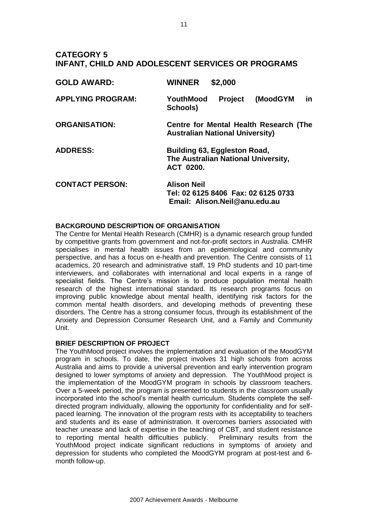## **CATEGORY 5 INFANT, CHILD AND ADOLESCENT SERVICES OR PROGRAMS**

| <b>GOLD AWARD:</b>       | \$2,000<br><b>WINNER</b>                                                                   |
|--------------------------|--------------------------------------------------------------------------------------------|
| <b>APPLYING PROGRAM:</b> | <b>Project</b><br>(MoodGYM<br>YouthMood<br><u>in</u><br>Schools)                           |
| <b>ORGANISATION:</b>     | Centre for Mental Health Research (The<br><b>Australian National University)</b>           |
| <b>ADDRESS:</b>          | Building 63, Eggleston Road,<br>The Australian National University,<br><b>ACT 0200.</b>    |
| <b>CONTACT PERSON:</b>   | <b>Alison Neil</b><br>Tel: 02 6125 8406 Fax: 02 6125 0733<br>Email: Alison.Neil@anu.edu.au |

#### **BACKGROUND DESCRIPTION OF ORGANISATION**

The Centre for Mental Health Research (CMHR) is a dynamic research group funded by competitive grants from government and not-for-profit sectors in Australia. CMHR specialises in mental health issues from an epidemiological and community perspective, and has a focus on e-health and prevention. The Centre consists of 11 academics, 20 research and administrative staff, 19 PhD students and 10 part-time interviewers, and collaborates with international and local experts in a range of specialist fields. The Centre's mission is to produce population mental health research of the highest international standard. Its research programs focus on improving public knowledge about mental health, identifying risk factors for the common mental health disorders, and developing methods of preventing these disorders. The Centre has a strong consumer focus, through its establishment of the Anxiety and Depression Consumer Research Unit, and a Family and Community Unit.

#### **BRIEF DESCRIPTION OF PROJECT**

The YouthMood project involves the implementation and evaluation of the MoodGYM program in schools. To date, the project involves 31 high schools from across Australia and aims to provide a universal prevention and early intervention program designed to lower symptoms of anxiety and depression. The YouthMood project is the implementation of the MoodGYM program in schools by classroom teachers. Over a 5-week period, the program is presented to students in the classroom usually incorporated into the school's mental health curriculum. Students complete the selfdirected program individually, allowing the opportunity for confidentiality and for selfpaced learning. The innovation of the program rests with its acceptability to teachers and students and its ease of administration. It overcomes barriers associated with teacher unease and lack of expertise in the teaching of CBT, and student resistance to reporting mental health difficulties publicly. Preliminary results from the YouthMood project indicate significant reductions in symptoms of anxiety and depression for students who completed the MoodGYM program at post-test and 6 month follow-up.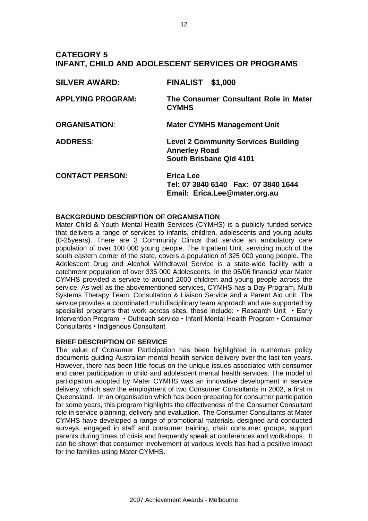## **CATEGORY 5 INFANT, CHILD AND ADOLESCENT SERVICES OR PROGRAMS**

| <b>SILVER AWARD:</b>     | <b>FINALIST \$1,000</b>                                                                       |
|--------------------------|-----------------------------------------------------------------------------------------------|
| <b>APPLYING PROGRAM:</b> | The Consumer Consultant Role in Mater<br><b>CYMHS</b>                                         |
| <b>ORGANISATION:</b>     | <b>Mater CYMHS Management Unit</b>                                                            |
| <b>ADDRESS:</b>          | <b>Level 2 Community Services Building</b><br><b>Annerley Road</b><br>South Brisbane Qld 4101 |
| <b>CONTACT PERSON:</b>   | <b>Erica Lee</b><br>Tel: 07 3840 6140  Fax: 07 3840 1644<br>Email: Erica.Lee@mater.org.au     |

#### **BACKGROUND DESCRIPTION OF ORGANISATION**

Mater Child & Youth Mental Health Services (CYMHS) is a publicly funded service that delivers a range of services to infants, children, adolescents and young adults (0-25years). There are 3 Community Clinics that service an ambulatory care population of over 100 000 young people. The Inpatient Unit, servicing much of the south eastern corner of the state, covers a population of 325 000 young people. The Adolescent Drug and Alcohol Withdrawal Service is a state-wide facility with a catchment population of over 335 000 Adolescents. In the 05/06 financial year Mater CYMHS provided a service to around 2000 children and young people across the service. As well as the abovementioned services, CYMHS has a Day Program, Multi Systems Therapy Team, Consultation & Liaison Service and a Parent Aid unit. The service provides a coordinated multidisciplinary team approach and are supported by specialist programs that work across sites, these include: • Research Unit • Early Intervention Program • Outreach service • Infant Mental Health Program • Consumer Consultants • Indigenous Consultant

#### **BRIEF DESCRIPTION OF SERVICE**

The value of Consumer Participation has been highlighted in numerous policy documents guiding Australian mental health service delivery over the last ten years. However, there has been little focus on the unique issues associated with consumer and carer participation in child and adolescent mental health services. The model of participation adopted by Mater CYMHS was an innovative development in service delivery, which saw the employment of two Consumer Consultants in 2002, a first in Queensland. In an organisation which has been preparing for consumer participation for some years, this program highlights the effectiveness of the Consumer Consultant role in service planning, delivery and evaluation. The Consumer Consultants at Mater CYMHS have developed a range of promotional materials, designed and conducted surveys, engaged in staff and consumer training, chair consumer groups, support parents during times of crisis and frequently speak at conferences and workshops. It can be shown that consumer involvement at various levels has had a positive impact for the families using Mater CYMHS.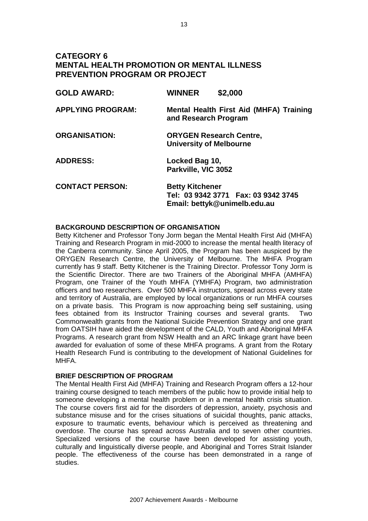## **CATEGORY 6 MENTAL HEALTH PROMOTION OR MENTAL ILLNESS PREVENTION PROGRAM OR PROJECT**

| <b>GOLD AWARD:</b>       | <b>WINNER</b>                                                    | \$2,000                                                              |
|--------------------------|------------------------------------------------------------------|----------------------------------------------------------------------|
| <b>APPLYING PROGRAM:</b> | and Research Program                                             | <b>Mental Health First Aid (MHFA) Training</b>                       |
| <b>ORGANISATION:</b>     | <b>ORYGEN Research Centre,</b><br><b>University of Melbourne</b> |                                                                      |
| <b>ADDRESS:</b>          | Locked Bag 10,<br>Parkville, VIC 3052                            |                                                                      |
| <b>CONTACT PERSON:</b>   | <b>Betty Kitchener</b>                                           | Tel: 03 9342 3771  Fax: 03 9342 3745<br>Email: bettyk@unimelb.edu.au |

#### **BACKGROUND DESCRIPTION OF ORGANISATION**

Betty Kitchener and Professor Tony Jorm began the Mental Health First Aid (MHFA) Training and Research Program in mid-2000 to increase the mental health literacy of the Canberra community. Since April 2005, the Program has been auspiced by the ORYGEN Research Centre, the University of Melbourne. The MHFA Program currently has 9 staff. Betty Kitchener is the Training Director. Professor Tony Jorm is the Scientific Director. There are two Trainers of the Aboriginal MHFA (AMHFA) Program, one Trainer of the Youth MHFA (YMHFA) Program, two administration officers and two researchers. Over 500 MHFA instructors, spread across every state and territory of Australia, are employed by local organizations or run MHFA courses on a private basis. This Program is now approaching being self sustaining, using fees obtained from its Instructor Training courses and several grants. Two Commonwealth grants from the National Suicide Prevention Strategy and one grant from OATSIH have aided the development of the CALD, Youth and Aboriginal MHFA Programs. A research grant from NSW Health and an ARC linkage grant have been awarded for evaluation of some of these MHFA programs. A grant from the Rotary Health Research Fund is contributing to the development of National Guidelines for MHFA.

#### **BRIEF DESCRIPTION OF PROGRAM**

The Mental Health First Aid (MHFA) Training and Research Program offers a 12-hour training course designed to teach members of the public how to provide initial help to someone developing a mental health problem or in a mental health crisis situation. The course covers first aid for the disorders of depression, anxiety, psychosis and substance misuse and for the crises situations of suicidal thoughts, panic attacks, exposure to traumatic events, behaviour which is perceived as threatening and overdose. The course has spread across Australia and to seven other countries. Specialized versions of the course have been developed for assisting youth, culturally and linguistically diverse people, and Aboriginal and Torres Strait Islander people. The effectiveness of the course has been demonstrated in a range of studies.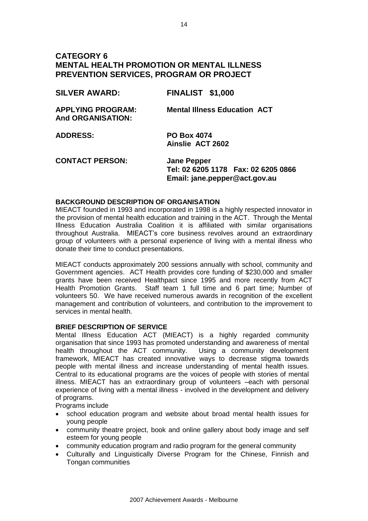## **CATEGORY 6 MENTAL HEALTH PROMOTION OR MENTAL ILLNESS PREVENTION SERVICES, PROGRAM OR PROJECT**

| <b>SILVER AWARD:</b>                                 | <b>FINALIST \$1,000</b>                                    |
|------------------------------------------------------|------------------------------------------------------------|
| <b>APPLYING PROGRAM:</b><br><b>And ORGANISATION:</b> | <b>Mental Illness Education ACT</b>                        |
| <b>ADDRESS:</b>                                      | <b>PO Box 4074</b><br>Ainslie ACT 2602                     |
| <b>CONTACT PERSON:</b>                               | <b>Jane Pepper</b><br>Tel: 02 6205 1178  Fax: 02 6205 0866 |

 **Email: [jane.pepper@act.gov.au](mailto:ccarafmi@bigpond.net.au)**

#### **BACKGROUND DESCRIPTION OF ORGANISATION**

MIEACT founded in 1993 and incorporated in 1998 is a highly respected innovator in the provision of mental health education and training in the ACT. Through the Mental Illness Education Australia Coalition it is affiliated with similar organisations throughout Australia. MIEACT's core business revolves around an extraordinary group of volunteers with a personal experience of living with a mental illness who donate their time to conduct presentations.

MIEACT conducts approximately 200 sessions annually with school, community and Government agencies. ACT Health provides core funding of \$230,000 and smaller grants have been received Healthpact since 1995 and more recently from ACT Health Promotion Grants. Staff team 1 full time and 6 part time; Number of volunteers 50. We have received numerous awards in recognition of the excellent management and contribution of volunteers, and contribution to the improvement to services in mental health.

#### **BRIEF DESCRIPTION OF SERVICE**

Mental Illness Education ACT (MIEACT) is a highly regarded community organisation that since 1993 has promoted understanding and awareness of mental health throughout the ACT community. Using a community development framework, MIEACT has created innovative ways to decrease stigma towards people with mental illness and increase understanding of mental health issues. Central to its educational programs are the voices of people with stories of mental illness. MIEACT has an extraordinary group of volunteers –each with personal experience of living with a mental illness - involved in the development and delivery of programs.

Programs include

- school education program and website about broad mental health issues for young people
- community theatre project, book and online gallery about body image and self esteem for young people
- community education program and radio program for the general community
- Culturally and Linguistically Diverse Program for the Chinese, Finnish and Tongan communities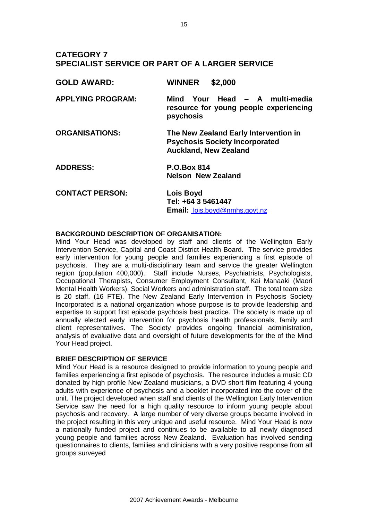## **CATEGORY 7 SPECIALIST SERVICE OR PART OF A LARGER SERVICE**

| <b>GOLD AWARD:</b>       | \$2,000<br><b>WINNER</b>                                                                                       |
|--------------------------|----------------------------------------------------------------------------------------------------------------|
| <b>APPLYING PROGRAM:</b> | Mind Your Head - A multi-media<br>resource for young people experiencing<br>psychosis                          |
| <b>ORGANISATIONS:</b>    | The New Zealand Early Intervention in<br><b>Psychosis Society Incorporated</b><br><b>Auckland, New Zealand</b> |
| <b>ADDRESS:</b>          | <b>P.O.Box 814</b><br><b>Nelson New Zealand</b>                                                                |
| <b>CONTACT PERSON:</b>   | Lois Boyd<br>Tel: +64 3 5461447<br>Email: lois.boyd@nmhs.govt.nz                                               |

#### **BACKGROUND DESCRIPTION OF ORGANISATION:**

Mind Your Head was developed by staff and clients of the Wellington Early Intervention Service, Capital and Coast District Health Board. The service provides early intervention for young people and families experiencing a first episode of psychosis. They are a multi-disciplinary team and service the greater Wellington region (population 400,000). Staff include Nurses, Psychiatrists, Psychologists, Occupational Therapists, Consumer Employment Consultant, Kai Manaaki (Maori Mental Health Workers), Social Workers and administration staff. The total team size is 20 staff. (16 FTE). The New Zealand Early Intervention in Psychosis Society Incorporated is a national organization whose purpose is to provide leadership and expertise to support first episode psychosis best practice. The society is made up of annually elected early intervention for psychosis health professionals, family and client representatives. The Society provides ongoing financial administration, analysis of evaluative data and oversight of future developments for the of the Mind Your Head project.

#### **BRIEF DESCRIPTION OF SERVICE**

Mind Your Head is a resource designed to provide information to young people and families experiencing a first episode of psychosis. The resource includes a music CD donated by high profile New Zealand musicians, a DVD short film featuring 4 young adults with experience of psychosis and a booklet incorporated into the cover of the unit. The project developed when staff and clients of the Wellington Early Intervention Service saw the need for a high quality resource to inform young people about psychosis and recovery. A large number of very diverse groups became involved in the project resulting in this very unique and useful resource. Mind Your Head is now a nationally funded project and continues to be available to all newly diagnosed young people and families across New Zealand. Evaluation has involved sending questionnaires to clients, families and clinicians with a very positive response from all groups surveyed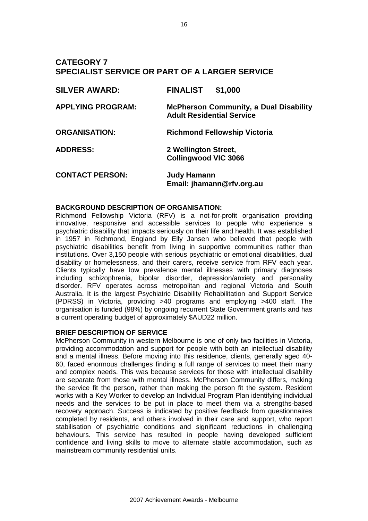## **CATEGORY 7 SPECIALIST SERVICE OR PART OF A LARGER SERVICE**

| <b>SILVER AWARD:</b>     | <b>FINALIST</b><br>\$1,000                                                        |
|--------------------------|-----------------------------------------------------------------------------------|
| <b>APPLYING PROGRAM:</b> | <b>McPherson Community, a Dual Disability</b><br><b>Adult Residential Service</b> |
| <b>ORGANISATION:</b>     | <b>Richmond Fellowship Victoria</b>                                               |
| <b>ADDRESS:</b>          | 2 Wellington Street,<br><b>Collingwood VIC 3066</b>                               |
| <b>CONTACT PERSON:</b>   | <b>Judy Hamann</b><br>Email: jhamann@rfv.org.au                                   |

#### **BACKGROUND DESCRIPTION OF ORGANISATION:**

Richmond Fellowship Victoria (RFV) is a not-for-profit organisation providing innovative, responsive and accessible services to people who experience a psychiatric disability that impacts seriously on their life and health. It was established in 1957 in Richmond, England by Elly Jansen who believed that people with psychiatric disabilities benefit from living in supportive communities rather than institutions. Over 3,150 people with serious psychiatric or emotional disabilities, dual disability or homelessness, and their carers, receive service from RFV each year. Clients typically have low prevalence mental illnesses with primary diagnoses including schizophrenia, bipolar disorder, depression/anxiety and personality disorder. RFV operates across metropolitan and regional Victoria and South Australia. It is the largest Psychiatric Disability Rehabilitation and Support Service (PDRSS) in Victoria, providing >40 programs and employing >400 staff. The organisation is funded (98%) by ongoing recurrent State Government grants and has a current operating budget of approximately \$AUD22 million.

#### **BRIEF DESCRIPTION OF SERVICE**

McPherson Community in western Melbourne is one of only two facilities in Victoria, providing accommodation and support for people with both an intellectual disability and a mental illness. Before moving into this residence, clients, generally aged 40- 60, faced enormous challenges finding a full range of services to meet their many and complex needs. This was because services for those with intellectual disability are separate from those with mental illness. McPherson Community differs, making the service fit the person, rather than making the person fit the system. Resident works with a Key Worker to develop an Individual Program Plan identifying individual needs and the services to be put in place to meet them via a strengths-based recovery approach. Success is indicated by positive feedback from questionnaires completed by residents, and others involved in their care and support, who report stabilisation of psychiatric conditions and significant reductions in challenging behaviours. This service has resulted in people having developed sufficient confidence and living skills to move to alternate stable accommodation, such as mainstream community residential units.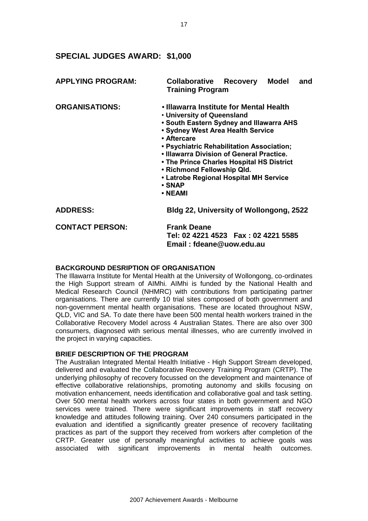## **SPECIAL JUDGES AWARD: \$1,000**

| <b>APPLYING PROGRAM:</b> | Collaborative<br>Recovery Model<br>and<br><b>Training Program</b>                                                                                                                                                                                                                                                                                                                                         |
|--------------------------|-----------------------------------------------------------------------------------------------------------------------------------------------------------------------------------------------------------------------------------------------------------------------------------------------------------------------------------------------------------------------------------------------------------|
| <b>ORGANISATIONS:</b>    | • Illawarra Institute for Mental Health<br>• University of Queensland<br>. South Eastern Sydney and Illawarra AHS<br>• Sydney West Area Health Service<br>• Aftercare<br>· Psychiatric Rehabilitation Association;<br>• Illawarra Division of General Practice.<br>• The Prince Charles Hospital HS District<br>• Richmond Fellowship Qld.<br>• Latrobe Regional Hospital MH Service<br>• SNAP<br>• NEAMI |
| <b>ADDRESS:</b>          | <b>Bldg 22, University of Wollongong, 2522</b>                                                                                                                                                                                                                                                                                                                                                            |
| <b>CONTACT PERSON:</b>   | <b>Frank Deane</b><br>Tel: 02 4221 4523    Fax: 02 4221 5585<br>Email: fdeane@uow.edu.au                                                                                                                                                                                                                                                                                                                  |

#### **BACKGROUND DESRIPTION OF ORGANISATION**

The Illawarra Institute for Mental Health at the University of Wollongong, co-ordinates the High Support stream of AIMhi. AIMhi is funded by the National Health and Medical Research Council (NHMRC) with contributions from participating partner organisations. There are currently 10 trial sites composed of both government and non-government mental health organisations. These are located throughout NSW, QLD, VIC and SA. To date there have been 500 mental health workers trained in the Collaborative Recovery Model across 4 Australian States. There are also over 300 consumers, diagnosed with serious mental illnesses, who are currently involved in the project in varying capacities.

#### **BRIEF DESCRIPTION OF THE PROGRAM**

The Australian Integrated Mental Health Initiative - High Support Stream developed, delivered and evaluated the Collaborative Recovery Training Program (CRTP). The underlying philosophy of recovery focussed on the development and maintenance of effective collaborative relationships, promoting autonomy and skills focusing on motivation enhancement, needs identification and collaborative goal and task setting. Over 500 mental health workers across four states in both government and NGO services were trained. There were significant improvements in staff recovery knowledge and attitudes following training. Over 240 consumers participated in the evaluation and identified a significantly greater presence of recovery facilitating practices as part of the support they received from workers after completion of the CRTP. Greater use of personally meaningful activities to achieve goals was associated with significant improvements in mental health outcomes.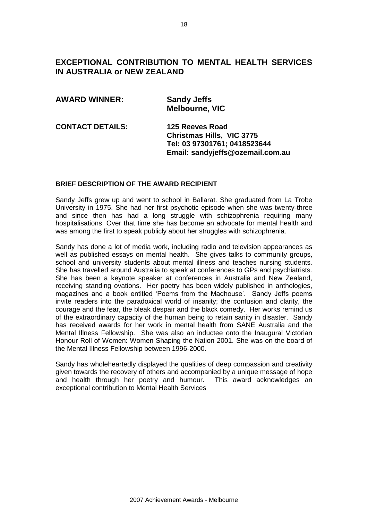## **EXCEPTIONAL CONTRIBUTION TO MENTAL HEALTH SERVICES IN AUSTRALIA or NEW ZEALAND**

| <b>AWARD WINNER:</b>    | <b>Sandy Jeffs</b><br><b>Melbourne, VIC</b>                                                                             |
|-------------------------|-------------------------------------------------------------------------------------------------------------------------|
| <b>CONTACT DETAILS:</b> | 125 Reeves Road<br><b>Christmas Hills, VIC 3775</b><br>Tel: 03 97301761; 0418523644<br>Email: sandyjeffs@ozemail.com.au |

#### **BRIEF DESCRIPTION OF THE AWARD RECIPIENT**

Sandy Jeffs grew up and went to school in Ballarat. She graduated from La Trobe University in 1975. She had her first psychotic episode when she was twenty-three and since then has had a long struggle with schizophrenia requiring many hospitalisations. Over that time she has become an advocate for mental health and was among the first to speak publicly about her struggles with schizophrenia.

Sandy has done a lot of media work, including radio and television appearances as well as published essays on mental health. She gives talks to community groups, school and university students about mental illness and teaches nursing students. She has travelled around Australia to speak at conferences to GPs and psychiatrists. She has been a keynote speaker at conferences in Australia and New Zealand, receiving standing ovations. Her poetry has been widely published in anthologies, magazines and a book entitled 'Poems from the Madhouse'. Sandy Jeffs poems invite readers into the paradoxical world of insanity; the confusion and clarity, the courage and the fear, the bleak despair and the black comedy. Her works remind us of the extraordinary capacity of the human being to retain sanity in disaster. Sandy has received awards for her work in mental health from SANE Australia and the Mental Illness Fellowship. She was also an inductee onto the Inaugural Victorian Honour Roll of Women: Women Shaping the Nation 2001. She was on the board of the Mental Illness Fellowship between 1996-2000.

Sandy has wholeheartedly displayed the qualities of deep compassion and creativity given towards the recovery of others and accompanied by a unique message of hope and health through her poetry and humour. This award acknowledges an exceptional contribution to Mental Health Services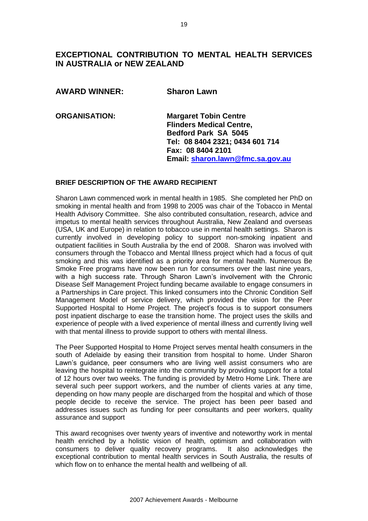# **EXCEPTIONAL CONTRIBUTION TO MENTAL HEALTH SERVICES IN AUSTRALIA or NEW ZEALAND**

| <b>AWARD WINNER:</b> | <b>Sharon Lawn</b> |
|----------------------|--------------------|
|                      |                    |

**ORGANISATION: Margaret Tobin Centre Flinders Medical Centre, Bedford Park SA 5045 Tel: 08 8404 2321; 0434 601 714 Fax: 08 8404 2101 Email: [sharon.lawn@fmc.sa.gov.au](mailto:sharon.lawn@fmc.sa.gov.au)**

#### **BRIEF DESCRIPTION OF THE AWARD RECIPIENT**

Sharon Lawn commenced work in mental health in 1985. She completed her PhD on smoking in mental health and from 1998 to 2005 was chair of the Tobacco in Mental Health Advisory Committee. She also contributed consultation, research, advice and impetus to mental health services throughout Australia, New Zealand and overseas (USA, UK and Europe) in relation to tobacco use in mental health settings. Sharon is currently involved in developing policy to support non-smoking inpatient and outpatient facilities in South Australia by the end of 2008. Sharon was involved with consumers through the Tobacco and Mental Illness project which had a focus of quit smoking and this was identified as a priority area for mental health. Numerous Be Smoke Free programs have now been run for consumers over the last nine years, with a high success rate. Through Sharon Lawn's involvement with the Chronic Disease Self Management Project funding became available to engage consumers in a Partnerships in Care project. This linked consumers into the Chronic Condition Self Management Model of service delivery, which provided the vision for the Peer Supported Hospital to Home Project. The project's focus is to support consumers post inpatient discharge to ease the transition home. The project uses the skills and experience of people with a lived experience of mental illness and currently living well with that mental illness to provide support to others with mental illness.

The Peer Supported Hospital to Home Project serves mental health consumers in the south of Adelaide by easing their transition from hospital to home. Under Sharon Lawn's guidance, peer consumers who are living well assist consumers who are leaving the hospital to reintegrate into the community by providing support for a total of 12 hours over two weeks. The funding is provided by Metro Home Link. There are several such peer support workers, and the number of clients varies at any time, depending on how many people are discharged from the hospital and which of those people decide to receive the service. The project has been peer based and addresses issues such as funding for peer consultants and peer workers, quality assurance and support

This award recognises over twenty years of inventive and noteworthy work in mental health enriched by a holistic vision of health, optimism and collaboration with consumers to deliver quality recovery programs. It also acknowledges the exceptional contribution to mental health services in South Australia, the results of which flow on to enhance the mental health and wellbeing of all.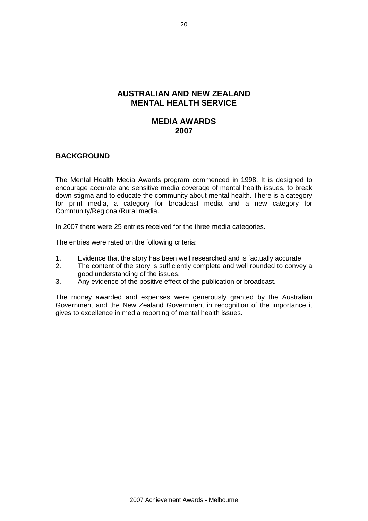## **AUSTRALIAN AND NEW ZEALAND MENTAL HEALTH SERVICE**

## **MEDIA AWARDS 2007**

### **BACKGROUND**

The Mental Health Media Awards program commenced in 1998. It is designed to encourage accurate and sensitive media coverage of mental health issues, to break down stigma and to educate the community about mental health. There is a category for print media, a category for broadcast media and a new category for Community/Regional/Rural media.

In 2007 there were 25 entries received for the three media categories.

The entries were rated on the following criteria:

- 1. Evidence that the story has been well researched and is factually accurate.
- 2. The content of the story is sufficiently complete and well rounded to convey a good understanding of the issues.
- 3. Any evidence of the positive effect of the publication or broadcast.

The money awarded and expenses were generously granted by the Australian Government and the New Zealand Government in recognition of the importance it gives to excellence in media reporting of mental health issues.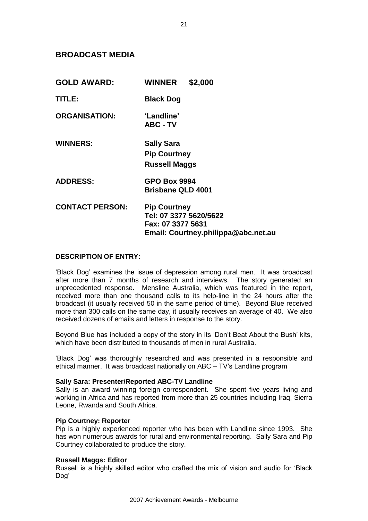### **BROADCAST MEDIA**

| <b>GOLD AWARD:</b>     | <b>WINNER</b><br>\$2,000                                                                                  |
|------------------------|-----------------------------------------------------------------------------------------------------------|
| TITLE:                 | <b>Black Dog</b>                                                                                          |
| <b>ORGANISATION:</b>   | 'Landline'<br><b>ABC - TV</b>                                                                             |
| <b>WINNERS:</b>        | <b>Sally Sara</b><br><b>Pip Courtney</b><br><b>Russell Maggs</b>                                          |
| <b>ADDRESS:</b>        | <b>GPO Box 9994</b><br><b>Brisbane QLD 4001</b>                                                           |
| <b>CONTACT PERSON:</b> | <b>Pip Courtney</b><br>Tel: 07 3377 5620/5622<br>Fax: 07 3377 5631<br>Email: Courtney.philippa@abc.net.au |

#### **DESCRIPTION OF ENTRY:**

'Black Dog' examines the issue of depression among rural men. It was broadcast after more than 7 months of research and interviews. The story generated an unprecedented response. Mensline Australia, which was featured in the report, received more than one thousand calls to its help-line in the 24 hours after the broadcast (it usually received 50 in the same period of time). Beyond Blue received more than 300 calls on the same day, it usually receives an average of 40. We also received dozens of emails and letters in response to the story.

Beyond Blue has included a copy of the story in its 'Don't Beat About the Bush' kits, which have been distributed to thousands of men in rural Australia.

'Black Dog' was thoroughly researched and was presented in a responsible and ethical manner. It was broadcast nationally on ABC – TV's Landline program

#### **Sally Sara: Presenter/Reported ABC-TV Landline**

Sally is an award winning foreign correspondent. She spent five years living and working in Africa and has reported from more than 25 countries including Iraq, Sierra Leone, Rwanda and South Africa.

#### **Pip Courtney: Reporter**

Pip is a highly experienced reporter who has been with Landline since 1993. She has won numerous awards for rural and environmental reporting. Sally Sara and Pip Courtney collaborated to produce the story.

#### **Russell Maggs: Editor**

Russell is a highly skilled editor who crafted the mix of vision and audio for 'Black Dog'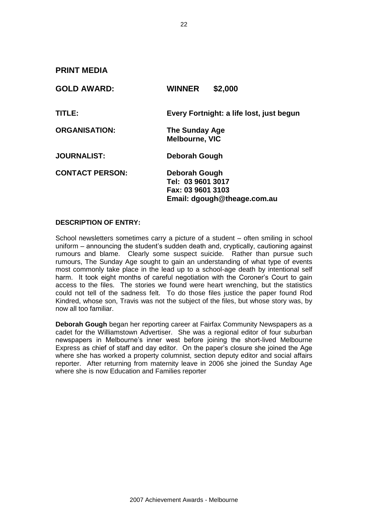**PRINT MEDIA** 

| <b>GOLD AWARD:</b>     | \$2,000<br><b>WINNER</b>                                                               |
|------------------------|----------------------------------------------------------------------------------------|
| TITLE:                 | Every Fortnight: a life lost, just begun                                               |
| <b>ORGANISATION:</b>   | <b>The Sunday Age</b><br><b>Melbourne, VIC</b>                                         |
| <b>JOURNALIST:</b>     | Deborah Gough                                                                          |
| <b>CONTACT PERSON:</b> | Deborah Gough<br>Tel: 03 9601 3017<br>Fax: 03 9601 3103<br>Email: dgough@theage.com.au |

#### **DESCRIPTION OF ENTRY:**

School newsletters sometimes carry a picture of a student – often smiling in school uniform – announcing the student's sudden death and, cryptically, cautioning against rumours and blame. Clearly some suspect suicide. Rather than pursue such rumours, The Sunday Age sought to gain an understanding of what type of events most commonly take place in the lead up to a school-age death by intentional self harm. It took eight months of careful negotiation with the Coroner's Court to gain access to the files. The stories we found were heart wrenching, but the statistics could not tell of the sadness felt. To do those files justice the paper found Rod Kindred, whose son, Travis was not the subject of the files, but whose story was, by now all too familiar.

**Deborah Gough** began her reporting career at Fairfax Community Newspapers as a cadet for the Williamstown Advertiser. She was a regional editor of four suburban newspapers in Melbourne's inner west before joining the short-lived Melbourne Express as chief of staff and day editor. On the paper's closure she joined the Age where she has worked a property columnist, section deputy editor and social affairs reporter. After returning from maternity leave in 2006 she joined the Sunday Age where she is now Education and Families reporter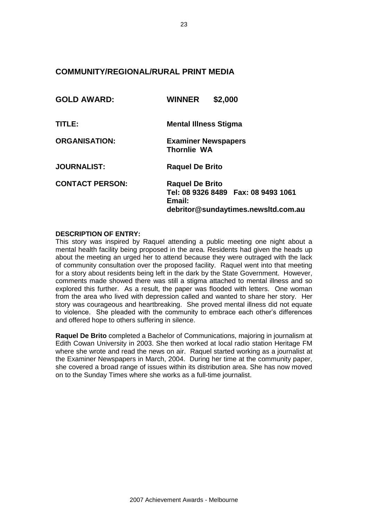## **COMMUNITY/REGIONAL/RURAL PRINT MEDIA**

| <b>GOLD AWARD:</b>     | \$2,000<br><b>WINNER</b>                                                                                          |
|------------------------|-------------------------------------------------------------------------------------------------------------------|
| TITLE:                 | <b>Mental Illness Stigma</b>                                                                                      |
| <b>ORGANISATION:</b>   | <b>Examiner Newspapers</b><br><b>Thornlie WA</b>                                                                  |
| <b>JOURNALIST:</b>     | <b>Raquel De Brito</b>                                                                                            |
| <b>CONTACT PERSON:</b> | <b>Raquel De Brito</b><br>Tel: 08 9326 8489    Fax: 08 9493 1061<br>Email:<br>debritor@sundaytimes.newsltd.com.au |

#### **DESCRIPTION OF ENTRY:**

This story was inspired by Raquel attending a public meeting one night about a mental health facility being proposed in the area. Residents had given the heads up about the meeting an urged her to attend because they were outraged with the lack of community consultation over the proposed facility. Raquel went into that meeting for a story about residents being left in the dark by the State Government. However, comments made showed there was still a stigma attached to mental illness and so explored this further. As a result, the paper was flooded with letters. One woman from the area who lived with depression called and wanted to share her story. Her story was courageous and heartbreaking. She proved mental illness did not equate to violence. She pleaded with the community to embrace each other's differences and offered hope to others suffering in silence.

**Raquel De Brito** completed a Bachelor of Communications, majoring in journalism at Edith Cowan University in 2003. She then worked at local radio station Heritage FM where she wrote and read the news on air.Raquel started working as a journalist at the Examiner Newspapers in March, 2004. During her time at the community paper, she covered a broad range of issues within its distribution area. She has now moved on to the Sunday Times where she works as a full-time journalist.